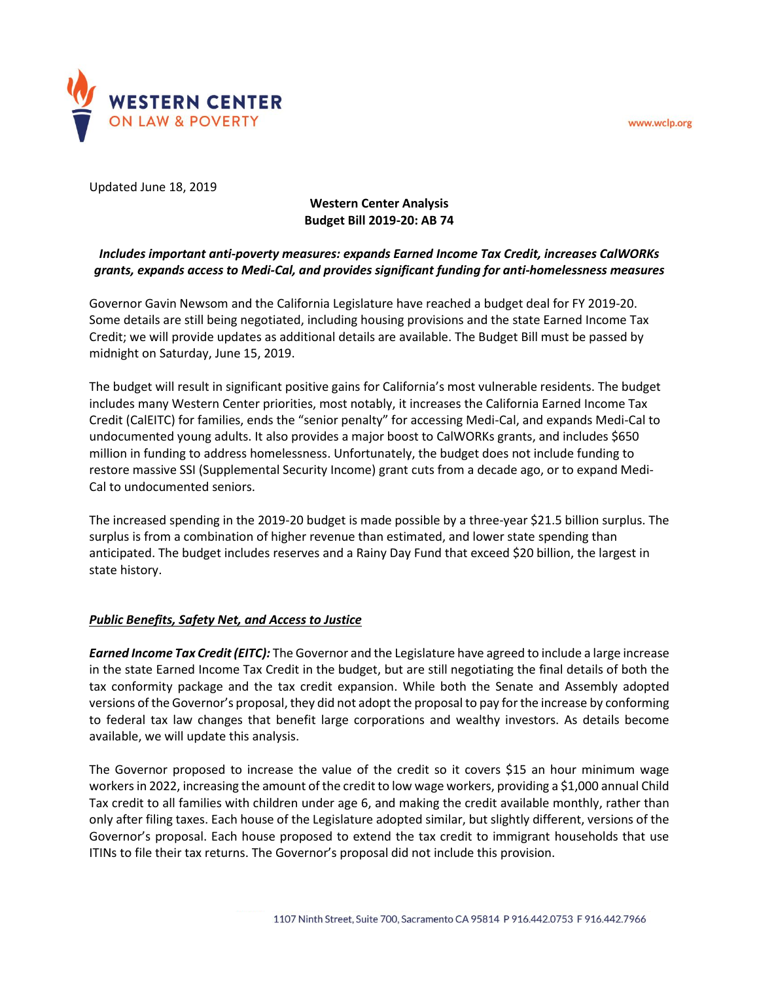www.wclp.org



Updated June 18, 2019

# **Western Center Analysis Budget Bill 2019-20: AB 74**

# *Includes important anti-poverty measures: expands Earned Income Tax Credit, increases CalWORKs grants, expands access to Medi-Cal, and provides significant funding for anti-homelessness measures*

Governor Gavin Newsom and the California Legislature have reached a budget deal for FY 2019-20. Some details are still being negotiated, including housing provisions and the state Earned Income Tax Credit; we will provide updates as additional details are available. The Budget Bill must be passed by midnight on Saturday, June 15, 2019.

The budget will result in significant positive gains for California's most vulnerable residents. The budget includes many Western Center priorities, most notably, it increases the California Earned Income Tax Credit (CalEITC) for families, ends the "senior penalty" for accessing Medi-Cal, and expands Medi-Cal to undocumented young adults. It also provides a major boost to CalWORKs grants, and includes \$650 million in funding to address homelessness. Unfortunately, the budget does not include funding to restore massive SSI (Supplemental Security Income) grant cuts from a decade ago, or to expand Medi-Cal to undocumented seniors.

The increased spending in the 2019-20 budget is made possible by a three-year \$21.5 billion surplus. The surplus is from a combination of higher revenue than estimated, and lower state spending than anticipated. The budget includes reserves and a Rainy Day Fund that exceed \$20 billion, the largest in state history.

## *Public Benefits, Safety Net, and Access to Justice*

*Earned Income Tax Credit (EITC):* The Governor and the Legislature have agreed to include a large increase in the state Earned Income Tax Credit in the budget, but are still negotiating the final details of both the tax conformity package and the tax credit expansion. While both the Senate and Assembly adopted versions of the Governor's proposal, they did not adopt the proposal to pay for the increase by conforming to federal tax law changes that benefit large corporations and wealthy investors. As details become available, we will update this analysis.

The Governor proposed to increase the value of the credit so it covers \$15 an hour minimum wage workers in 2022, increasing the amount of the credit to low wage workers, providing a \$1,000 annual Child Tax credit to all families with children under age 6, and making the credit available monthly, rather than only after filing taxes. Each house of the Legislature adopted similar, but slightly different, versions of the Governor's proposal. Each house proposed to extend the tax credit to immigrant households that use ITINs to file their tax returns. The Governor's proposal did not include this provision.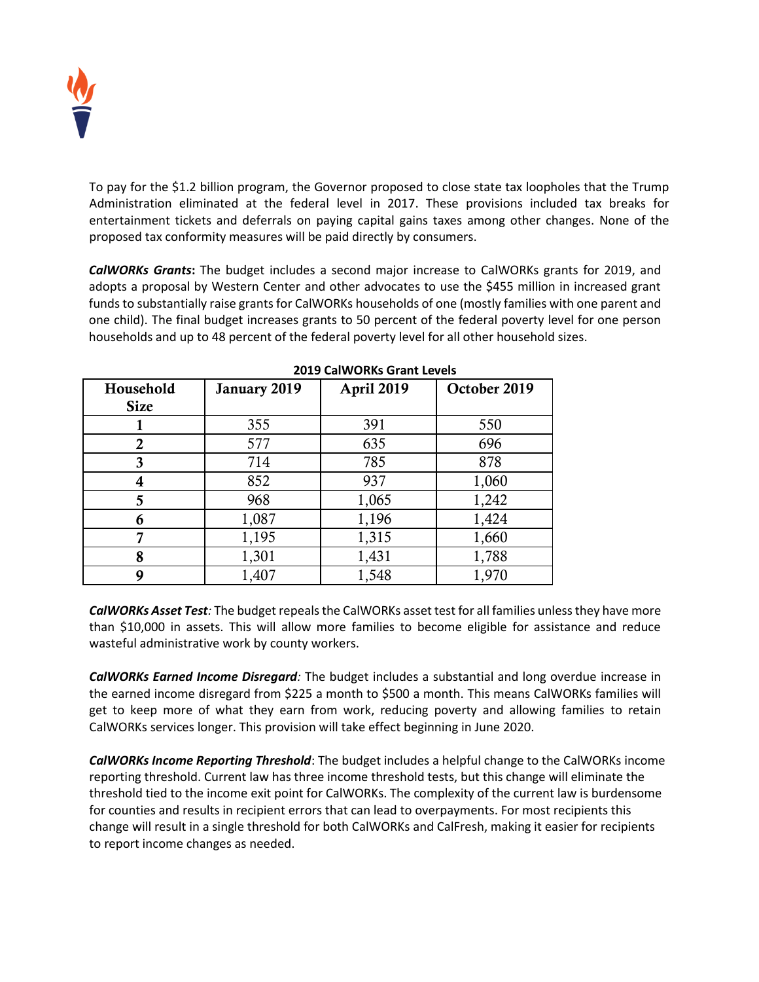

To pay for the \$1.2 billion program, the Governor proposed to close state tax loopholes that the Trump Administration eliminated at the federal level in 2017. These provisions included tax breaks for entertainment tickets and deferrals on paying capital gains taxes among other changes. None of the proposed tax conformity measures will be paid directly by consumers.

*CalWORKs Grants***:** The budget includes a second major increase to CalWORKs grants for 2019, and adopts a proposal by Western Center and other advocates to use the \$455 million in increased grant funds to substantially raise grants for CalWORKs households of one (mostly families with one parent and one child). The final budget increases grants to 50 percent of the federal poverty level for one person households and up to 48 percent of the federal poverty level for all other household sizes.

| Household<br><b>Size</b> | January 2019 | April 2019 | October 2019 |
|--------------------------|--------------|------------|--------------|
|                          | 355          | 391        | 550          |
| 2                        | 577          | 635        | 696          |
| 3                        | 714          | 785        | 878          |
| 4                        | 852          | 937        | 1,060        |
| 5                        | 968          | 1,065      | 1,242        |
| 6                        | 1,087        | 1,196      | 1,424        |
|                          | 1,195        | 1,315      | 1,660        |
| 8                        | 1,301        | 1,431      | 1,788        |
| q                        | 1,407        | 1,548      | 1,970        |

**2019 CalWORKs Grant Levels**

*CalWORKs Asset Test:* The budget repeals the CalWORKs asset test for all families unless they have more than \$10,000 in assets. This will allow more families to become eligible for assistance and reduce wasteful administrative work by county workers.

*CalWORKs Earned Income Disregard:* The budget includes a substantial and long overdue increase in the earned income disregard from \$225 a month to \$500 a month. This means CalWORKs families will get to keep more of what they earn from work, reducing poverty and allowing families to retain CalWORKs services longer. This provision will take effect beginning in June 2020.

*CalWORKs Income Reporting Threshold*: The budget includes a helpful change to the CalWORKs income reporting threshold. Current law has three income threshold tests, but this change will eliminate the threshold tied to the income exit point for CalWORKs. The complexity of the current law is burdensome for counties and results in recipient errors that can lead to overpayments. For most recipients this change will result in a single threshold for both CalWORKs and CalFresh, making it easier for recipients to report income changes as needed.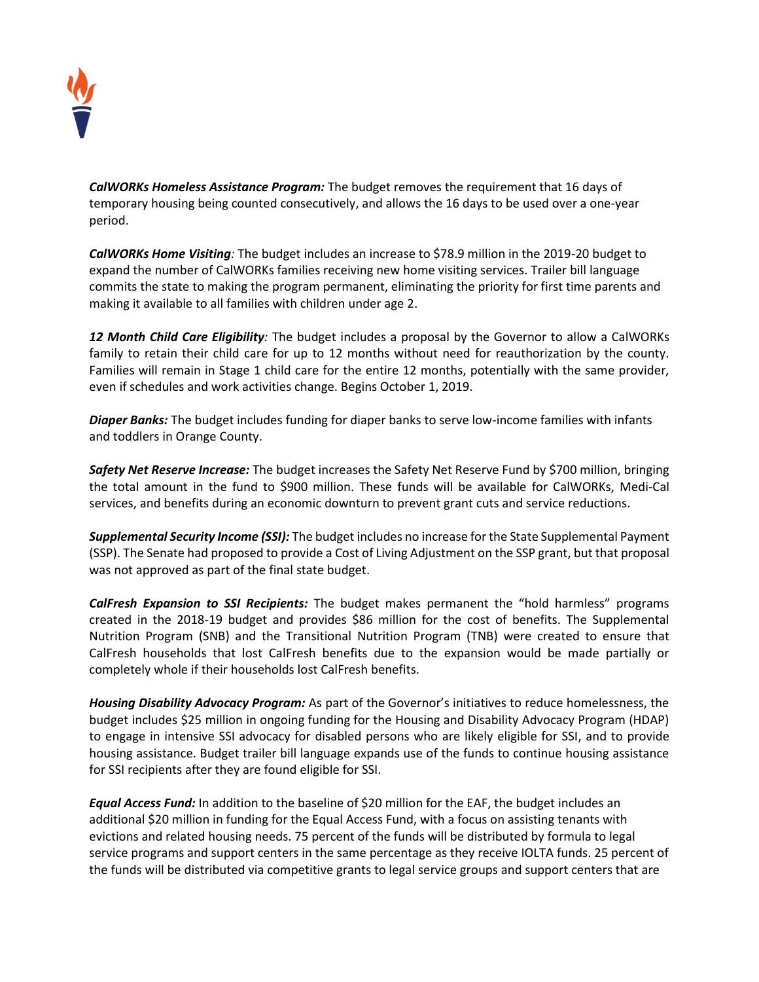

*CalWORKs Homeless Assistance Program:* The budget removes the requirement that 16 days of temporary housing being counted consecutively, and allows the 16 days to be used over a one-year period.

*CalWORKs Home Visiting:* The budget includes an increase to \$78.9 million in the 2019-20 budget to expand the number of CalWORKs families receiving new home visiting services. Trailer bill language commits the state to making the program permanent, eliminating the priority for first time parents and making it available to all families with children under age 2.

*12 Month Child Care Eligibility:* The budget includes a proposal by the Governor to allow a CalWORKs family to retain their child care for up to 12 months without need for reauthorization by the county. Families will remain in Stage 1 child care for the entire 12 months, potentially with the same provider, even if schedules and work activities change. Begins October 1, 2019.

*Diaper Banks:* The budget includes funding for diaper banks to serve low-income families with infants and toddlers in Orange County.

*Safety Net Reserve Increase:* The budget increases the Safety Net Reserve Fund by \$700 million, bringing the total amount in the fund to \$900 million. These funds will be available for CalWORKs, Medi-Cal services, and benefits during an economic downturn to prevent grant cuts and service reductions.

*Supplemental Security Income (SSI):* The budget includes no increase for the State Supplemental Payment (SSP). The Senate had proposed to provide a Cost of Living Adjustment on the SSP grant, but that proposal was not approved as part of the final state budget.

*CalFresh Expansion to SSI Recipients:* The budget makes permanent the "hold harmless" programs created in the 2018-19 budget and provides \$86 million for the cost of benefits. The Supplemental Nutrition Program (SNB) and the Transitional Nutrition Program (TNB) were created to ensure that CalFresh households that lost CalFresh benefits due to the expansion would be made partially or completely whole if their households lost CalFresh benefits.

*Housing Disability Advocacy Program:* As part of the Governor's initiatives to reduce homelessness, the budget includes \$25 million in ongoing funding for the Housing and Disability Advocacy Program (HDAP) to engage in intensive SSI advocacy for disabled persons who are likely eligible for SSI, and to provide housing assistance. Budget trailer bill language expands use of the funds to continue housing assistance for SSI recipients after they are found eligible for SSI.

*Equal Access Fund:* In addition to the baseline of \$20 million for the EAF, the budget includes an additional \$20 million in funding for the Equal Access Fund, with a focus on assisting tenants with evictions and related housing needs. 75 percent of the funds will be distributed by formula to legal service programs and support centers in the same percentage as they receive IOLTA funds. 25 percent of the funds will be distributed via competitive grants to legal service groups and support centers that are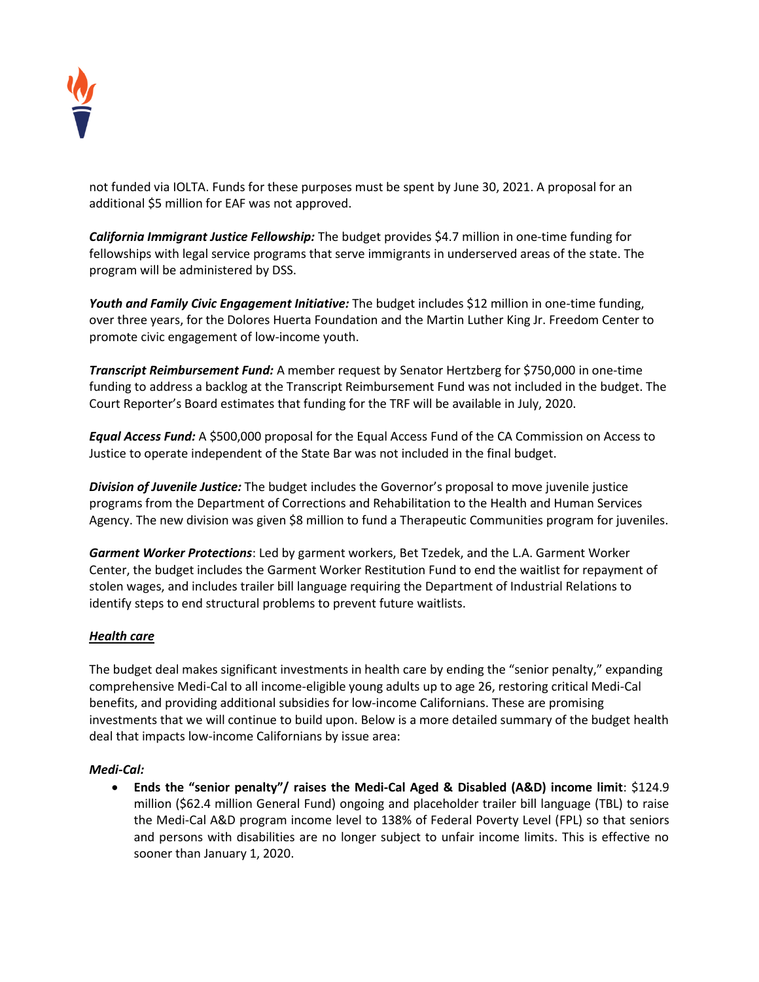

not funded via IOLTA. Funds for these purposes must be spent by June 30, 2021. A proposal for an additional \$5 million for EAF was not approved.

*California Immigrant Justice Fellowship:* The budget provides \$4.7 million in one-time funding for fellowships with legal service programs that serve immigrants in underserved areas of the state. The program will be administered by DSS.

*Youth and Family Civic Engagement Initiative:* The budget includes \$12 million in one-time funding, over three years, for the Dolores Huerta Foundation and the Martin Luther King Jr. Freedom Center to promote civic engagement of low-income youth.

*Transcript Reimbursement Fund:* A member request by Senator Hertzberg for \$750,000 in one-time funding to address a backlog at the Transcript Reimbursement Fund was not included in the budget. The Court Reporter's Board estimates that funding for the TRF will be available in July, 2020.

*Equal Access Fund:* A \$500,000 proposal for the Equal Access Fund of the CA Commission on Access to Justice to operate independent of the State Bar was not included in the final budget.

*Division of Juvenile Justice:* The budget includes the Governor's proposal to move juvenile justice programs from the Department of Corrections and Rehabilitation to the Health and Human Services Agency. The new division was given \$8 million to fund a Therapeutic Communities program for juveniles.

*Garment Worker Protections*: Led by garment workers, Bet Tzedek, and the L.A. Garment Worker Center, the budget includes the Garment Worker Restitution Fund to end the waitlist for repayment of stolen wages, and includes trailer bill language requiring the Department of Industrial Relations to identify steps to end structural problems to prevent future waitlists.

## *Health care*

The budget deal makes significant investments in health care by ending the "senior penalty," expanding comprehensive Medi-Cal to all income-eligible young adults up to age 26, restoring critical Medi-Cal benefits, and providing additional subsidies for low-income Californians. These are promising investments that we will continue to build upon. Below is a more detailed summary of the budget health deal that impacts low-income Californians by issue area:

#### *Medi-Cal:*

 **Ends the "senior penalty"/ raises the Medi-Cal Aged & Disabled (A&D) income limit**: \$124.9 million (\$62.4 million General Fund) ongoing and placeholder trailer bill language (TBL) to raise the Medi-Cal A&D program income level to 138% of Federal Poverty Level (FPL) so that seniors and persons with disabilities are no longer subject to unfair income limits. This is effective no sooner than January 1, 2020.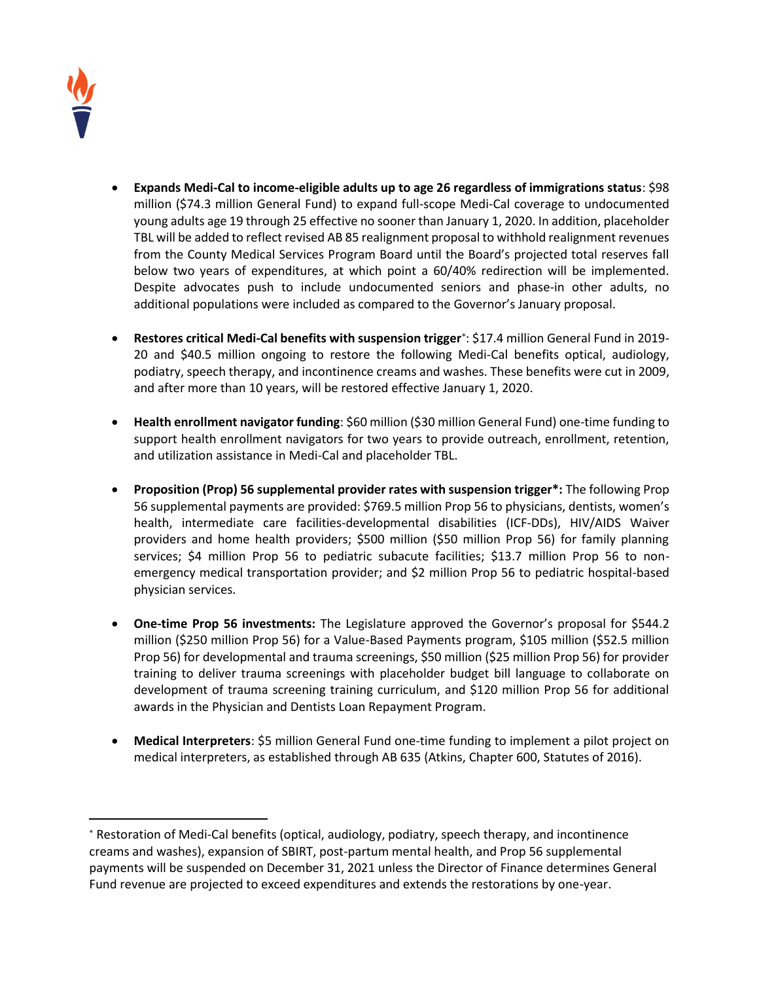

 $\overline{a}$ 

- **Expands Medi-Cal to income-eligible adults up to age 26 regardless of immigrations status**: \$98 million (\$74.3 million General Fund) to expand full-scope Medi-Cal coverage to undocumented young adults age 19 through 25 effective no sooner than January 1, 2020. In addition, placeholder TBL will be added to reflect revised AB 85 realignment proposal to withhold realignment revenues from the County Medical Services Program Board until the Board's projected total reserves fall below two years of expenditures, at which point a 60/40% redirection will be implemented. Despite advocates push to include undocumented seniors and phase-in other adults, no additional populations were included as compared to the Governor's January proposal.
- **Restores critical Medi-Cal benefits with suspension trigger** : \$17.4 million General Fund in 2019- 20 and \$40.5 million ongoing to restore the following Medi-Cal benefits optical, audiology, podiatry, speech therapy, and incontinence creams and washes. These benefits were cut in 2009, and after more than 10 years, will be restored effective January 1, 2020.
- **Health enrollment navigator funding**: \$60 million (\$30 million General Fund) one-time funding to support health enrollment navigators for two years to provide outreach, enrollment, retention, and utilization assistance in Medi-Cal and placeholder TBL.
- **Proposition (Prop) 56 supplemental provider rates with suspension trigger\*:** The following Prop 56 supplemental payments are provided: \$769.5 million Prop 56 to physicians, dentists, women's health, intermediate care facilities-developmental disabilities (ICF-DDs), HIV/AIDS Waiver providers and home health providers; \$500 million (\$50 million Prop 56) for family planning services; \$4 million Prop 56 to pediatric subacute facilities; \$13.7 million Prop 56 to nonemergency medical transportation provider; and \$2 million Prop 56 to pediatric hospital-based physician services.
- **One-time Prop 56 investments:** The Legislature approved the Governor's proposal for \$544.2 million (\$250 million Prop 56) for a Value-Based Payments program, \$105 million (\$52.5 million Prop 56) for developmental and trauma screenings, \$50 million (\$25 million Prop 56) for provider training to deliver trauma screenings with placeholder budget bill language to collaborate on development of trauma screening training curriculum, and \$120 million Prop 56 for additional awards in the Physician and Dentists Loan Repayment Program.
- **Medical Interpreters**: \$5 million General Fund one-time funding to implement a pilot project on medical interpreters, as established through AB 635 (Atkins, Chapter 600, Statutes of 2016).

Restoration of Medi-Cal benefits (optical, audiology, podiatry, speech therapy, and incontinence creams and washes), expansion of SBIRT, post-partum mental health, and Prop 56 supplemental payments will be suspended on December 31, 2021 unless the Director of Finance determines General Fund revenue are projected to exceed expenditures and extends the restorations by one-year.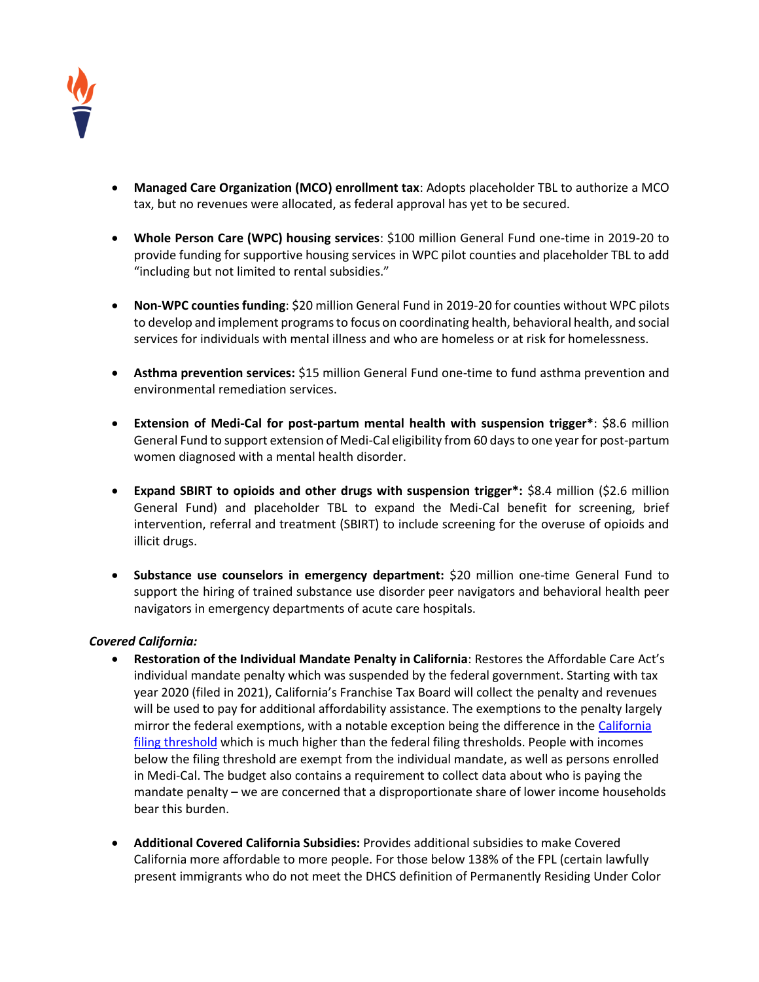

- **Managed Care Organization (MCO) enrollment tax**: Adopts placeholder TBL to authorize a MCO tax, but no revenues were allocated, as federal approval has yet to be secured.
- **Whole Person Care (WPC) housing services**: \$100 million General Fund one-time in 2019-20 to provide funding for supportive housing services in WPC pilot counties and placeholder TBL to add "including but not limited to rental subsidies."
- **Non-WPC counties funding**: \$20 million General Fund in 2019-20 for counties without WPC pilots to develop and implement programs to focus on coordinating health, behavioral health, and social services for individuals with mental illness and who are homeless or at risk for homelessness.
- **Asthma prevention services:** \$15 million General Fund one-time to fund asthma prevention and environmental remediation services.
- **Extension of Medi-Cal for post-partum mental health with suspension trigger\***: \$8.6 million General Fund to support extension of Medi-Cal eligibility from 60 days to one year for post-partum women diagnosed with a mental health disorder.
- **Expand SBIRT to opioids and other drugs with suspension trigger\*:** \$8.4 million (\$2.6 million General Fund) and placeholder TBL to expand the Medi-Cal benefit for screening, brief intervention, referral and treatment (SBIRT) to include screening for the overuse of opioids and illicit drugs.
- **Substance use counselors in emergency department:** \$20 million one-time General Fund to support the hiring of trained substance use disorder peer navigators and behavioral health peer navigators in emergency departments of acute care hospitals.

#### *Covered California:*

- **Restoration of the Individual Mandate Penalty in California**: Restores the Affordable Care Act's individual mandate penalty which was suspended by the federal government. Starting with tax year 2020 (filed in 2021), California's Franchise Tax Board will collect the penalty and revenues will be used to pay for additional affordability assistance. The exemptions to the penalty largely mirror the federal exemptions, with a notable exception being the difference in th[e California](https://www.ftb.ca.gov/forms/2018-california-tax-rates-and-exemptions.shtml#ifr)  [filing threshold](https://www.ftb.ca.gov/forms/2018-california-tax-rates-and-exemptions.shtml#ifr) which is much higher than the federal filing thresholds. People with incomes below the filing threshold are exempt from the individual mandate, as well as persons enrolled in Medi-Cal. The budget also contains a requirement to collect data about who is paying the mandate penalty – we are concerned that a disproportionate share of lower income households bear this burden.
- **Additional Covered California Subsidies:** Provides additional subsidies to make Covered California more affordable to more people. For those below 138% of the FPL (certain lawfully present immigrants who do not meet the DHCS definition of Permanently Residing Under Color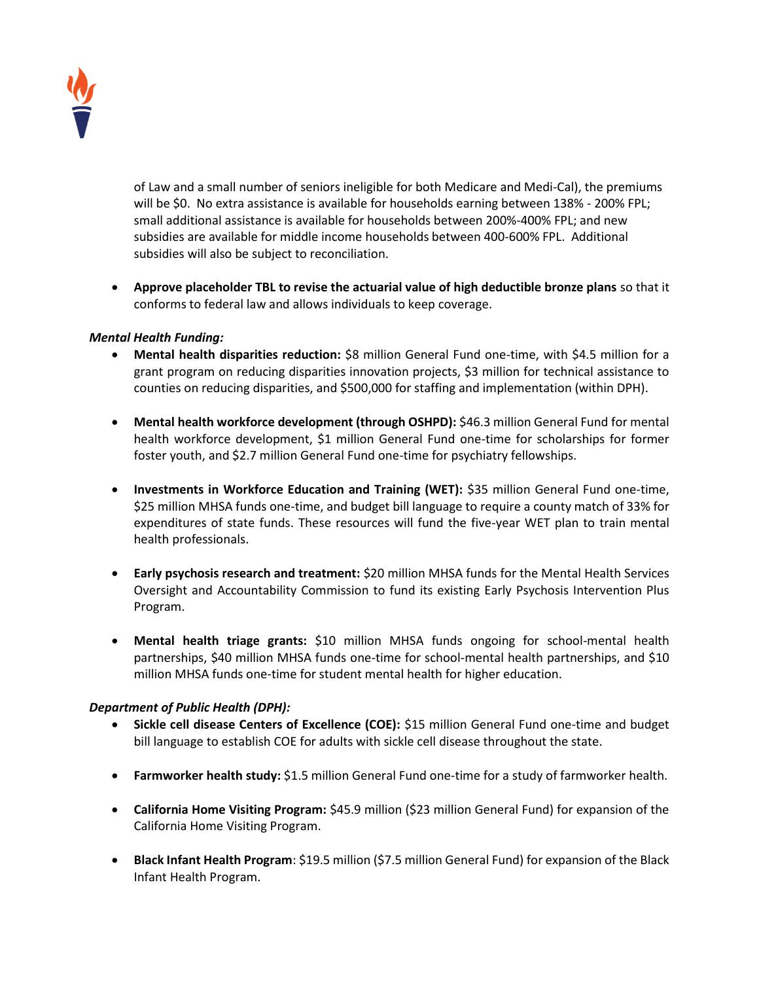

of Law and a small number of seniors ineligible for both Medicare and Medi-Cal), the premiums will be \$0. No extra assistance is available for households earning between 138% - 200% FPL; small additional assistance is available for households between 200%-400% FPL; and new subsidies are available for middle income households between 400-600% FPL. Additional subsidies will also be subject to reconciliation.

 **Approve placeholder TBL to revise the actuarial value of high deductible bronze plans** so that it conforms to federal law and allows individuals to keep coverage.

### *Mental Health Funding:*

- **Mental health disparities reduction:** \$8 million General Fund one-time, with \$4.5 million for a grant program on reducing disparities innovation projects, \$3 million for technical assistance to counties on reducing disparities, and \$500,000 for staffing and implementation (within DPH).
- **Mental health workforce development (through OSHPD):** \$46.3 million General Fund for mental health workforce development, \$1 million General Fund one-time for scholarships for former foster youth, and \$2.7 million General Fund one-time for psychiatry fellowships.
- **Investments in Workforce Education and Training (WET): \$35 million General Fund one-time,** \$25 million MHSA funds one-time, and budget bill language to require a county match of 33% for expenditures of state funds. These resources will fund the five-year WET plan to train mental health professionals.
- **Early psychosis research and treatment:** \$20 million MHSA funds for the Mental Health Services Oversight and Accountability Commission to fund its existing Early Psychosis Intervention Plus Program.
- **Mental health triage grants:** \$10 million MHSA funds ongoing for school-mental health partnerships, \$40 million MHSA funds one-time for school-mental health partnerships, and \$10 million MHSA funds one-time for student mental health for higher education.

#### *Department of Public Health (DPH):*

- **Sickle cell disease Centers of Excellence (COE):** \$15 million General Fund one-time and budget bill language to establish COE for adults with sickle cell disease throughout the state.
- **Farmworker health study:** \$1.5 million General Fund one-time for a study of farmworker health.
- **California Home Visiting Program:** \$45.9 million (\$23 million General Fund) for expansion of the California Home Visiting Program.
- **Black Infant Health Program:** \$19.5 million (\$7.5 million General Fund) for expansion of the Black Infant Health Program.